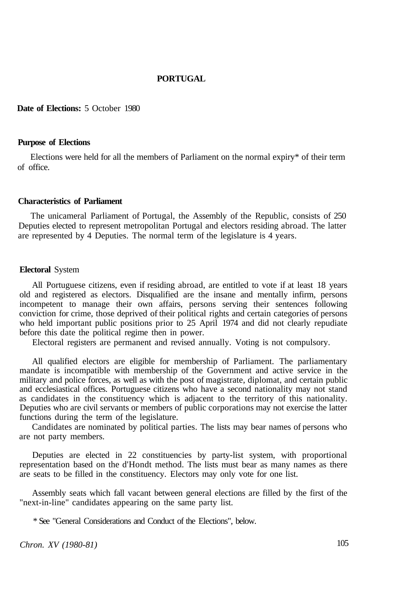### **PORTUGAL**

**Date of Elections:** 5 October 1980

#### **Purpose of Elections**

Elections were held for all the members of Parliament on the normal expiry\* of their term of office.

#### **Characteristics of Parliament**

The unicameral Parliament of Portugal, the Assembly of the Republic, consists of 250 Deputies elected to represent metropolitan Portugal and electors residing abroad. The latter are represented by 4 Deputies. The normal term of the legislature is 4 years.

## **Electoral** System

All Portuguese citizens, even if residing abroad, are entitled to vote if at least 18 years old and registered as electors. Disqualified are the insane and mentally infirm, persons incompetent to manage their own affairs, persons serving their sentences following conviction for crime, those deprived of their political rights and certain categories of persons who held important public positions prior to 25 April 1974 and did not clearly repudiate before this date the political regime then in power.

Electoral registers are permanent and revised annually. Voting is not compulsory.

All qualified electors are eligible for membership of Parliament. The parliamentary mandate is incompatible with membership of the Government and active service in the military and police forces, as well as with the post of magistrate, diplomat, and certain public and ecclesiastical offices. Portuguese citizens who have a second nationality may not stand as candidates in the constituency which is adjacent to the territory of this nationality. Deputies who are civil servants or members of public corporations may not exercise the latter functions during the term of the legislature.

Candidates are nominated by political parties. The lists may bear names of persons who are not party members.

Deputies are elected in 22 constituencies by party-list system, with proportional representation based on the d'Hondt method. The lists must bear as many names as there are seats to be filled in the constituency. Electors may only vote for one list.

Assembly seats which fall vacant between general elections are filled by the first of the "next-in-line" candidates appearing on the same party list.

\* See "General Considerations and Conduct of the Elections", below.

*Chron. XV (1980-81)* 105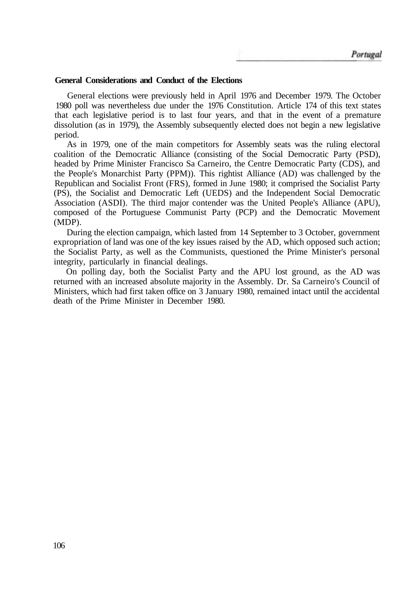### **General Considerations and Conduct of the Elections**

General elections were previously held in April 1976 and December 1979. The October 1980 poll was nevertheless due under the 1976 Constitution. Article 174 of this text states that each legislative period is to last four years, and that in the event of a premature dissolution (as in 1979), the Assembly subsequently elected does not begin a new legislative period.

As in 1979, one of the main competitors for Assembly seats was the ruling electoral coalition of the Democratic Alliance (consisting of the Social Democratic Party (PSD), headed by Prime Minister Francisco Sa Carneiro, the Centre Democratic Party (CDS), and the People's Monarchist Party (PPM)). This rightist Alliance (AD) was challenged by the Republican and Socialist Front (FRS), formed in June 1980; it comprised the Socialist Party (PS), the Socialist and Democratic Left (UEDS) and the Independent Social Democratic Association (ASDI). The third major contender was the United People's Alliance (APU), composed of the Portuguese Communist Party (PCP) and the Democratic Movement (MDP).

During the election campaign, which lasted from 14 September to 3 October, government expropriation of land was one of the key issues raised by the AD, which opposed such action; the Socialist Party, as well as the Communists, questioned the Prime Minister's personal integrity, particularly in financial dealings.

On polling day, both the Socialist Party and the APU lost ground, as the AD was returned with an increased absolute majority in the Assembly. Dr. Sa Carneiro's Council of Ministers, which had first taken office on 3 January 1980, remained intact until the accidental death of the Prime Minister in December 1980.